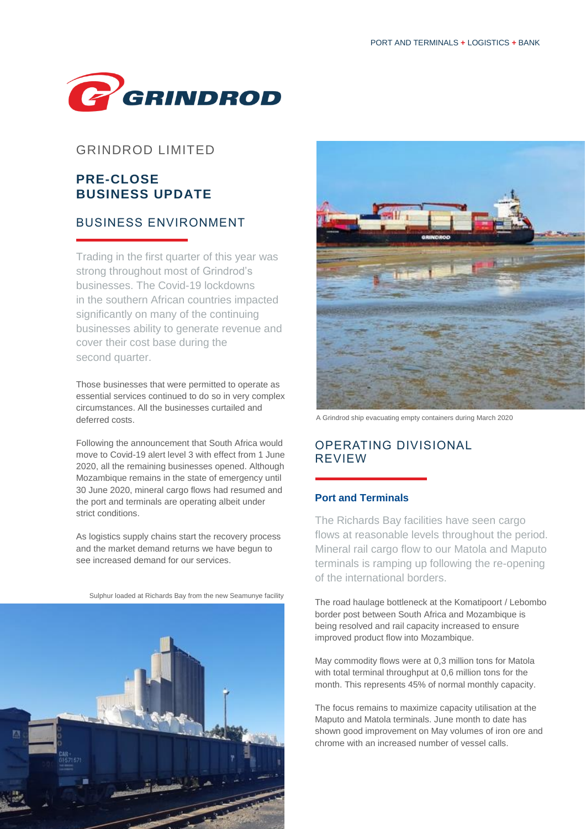

### GRINDROD LIMITED

# **PRE-CLOSE BUSINESS UPDATE**

## BUSINESS ENVIRONMENT

Trading in the first quarter of this year was strong throughout most of Grindrod's businesses. The Covid-19 lockdowns in the southern African countries impacted significantly on many of the continuing businesses ability to generate revenue and cover their cost base during the second quarter.

Those businesses that were permitted to operate as essential services continued to do so in very complex circumstances. All the businesses curtailed and deferred costs.

Following the announcement that South Africa would move to Covid-19 alert level 3 with effect from 1 June 2020, all the remaining businesses opened. Although Mozambique remains in the state of emergency until 30 June 2020, mineral cargo flows had resumed and the port and terminals are operating albeit under strict conditions.

As logistics supply chains start the recovery process and the market demand returns we have begun to see increased demand for our services.







A Grindrod ship evacuating empty containers during March 2020

### OPERATING DIVISIONAL REVIEW

#### **Port and Terminals**

The Richards Bay facilities have seen cargo flows at reasonable levels throughout the period. Mineral rail cargo flow to our Matola and Maputo terminals is ramping up following the re-opening of the international borders.

The road haulage bottleneck at the Komatipoort / Lebombo border post between South Africa and Mozambique is being resolved and rail capacity increased to ensure improved product flow into Mozambique.

May commodity flows were at 0,3 million tons for Matola with total terminal throughput at 0,6 million tons for the month. This represents 45% of normal monthly capacity.

The focus remains to maximize capacity utilisation at the Maputo and Matola terminals. June month to date has shown good improvement on May volumes of iron ore and chrome with an increased number of vessel calls.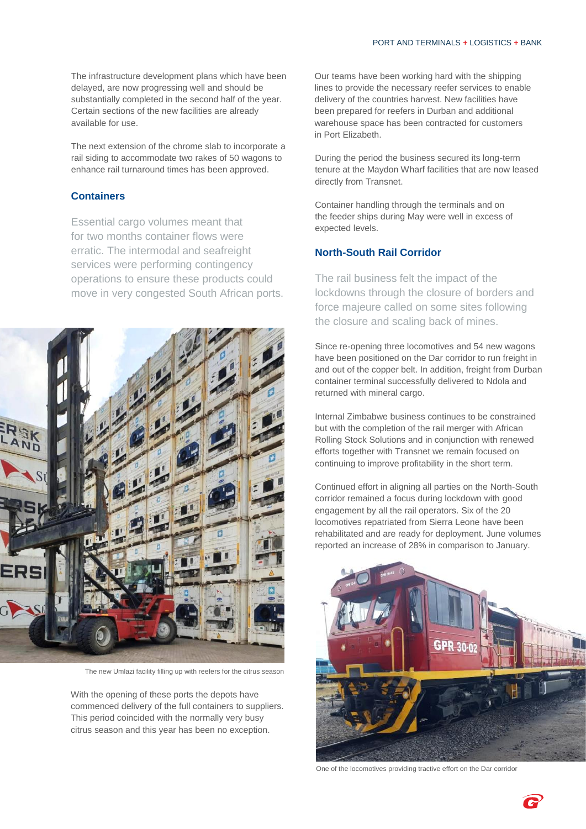The infrastructure development plans which have been delayed, are now progressing well and should be substantially completed in the second half of the year. Certain sections of the new facilities are already available for use.

The next extension of the chrome slab to incorporate a rail siding to accommodate two rakes of 50 wagons to enhance rail turnaround times has been approved.

#### **Containers**

Essential cargo volumes meant that for two months container flows were erratic. The intermodal and seafreight services were performing contingency operations to ensure these products could move in very congested South African ports.



The new Umlazi facility filling up with reefers for the citrus season

With the opening of these ports the depots have commenced delivery of the full containers to suppliers. This period coincided with the normally very busy citrus season and this year has been no exception.

Our teams have been working hard with the shipping lines to provide the necessary reefer services to enable delivery of the countries harvest. New facilities have been prepared for reefers in Durban and additional warehouse space has been contracted for customers in Port Elizabeth.

During the period the business secured its long-term tenure at the Maydon Wharf facilities that are now leased directly from Transnet.

Container handling through the terminals and on the feeder ships during May were well in excess of expected levels.

### **North-South Rail Corridor**

The rail business felt the impact of the lockdowns through the closure of borders and force majeure called on some sites following the closure and scaling back of mines.

Since re-opening three locomotives and 54 new wagons have been positioned on the Dar corridor to run freight in and out of the copper belt. In addition, freight from Durban container terminal successfully delivered to Ndola and returned with mineral cargo.

Internal Zimbabwe business continues to be constrained but with the completion of the rail merger with African Rolling Stock Solutions and in conjunction with renewed efforts together with Transnet we remain focused on continuing to improve profitability in the short term.

Continued effort in aligning all parties on the North-South corridor remained a focus during lockdown with good engagement by all the rail operators. Six of the 20 locomotives repatriated from Sierra Leone have been rehabilitated and are ready for deployment. June volumes reported an increase of 28% in comparison to January.



One of the locomotives providing tractive effort on the Dar corridor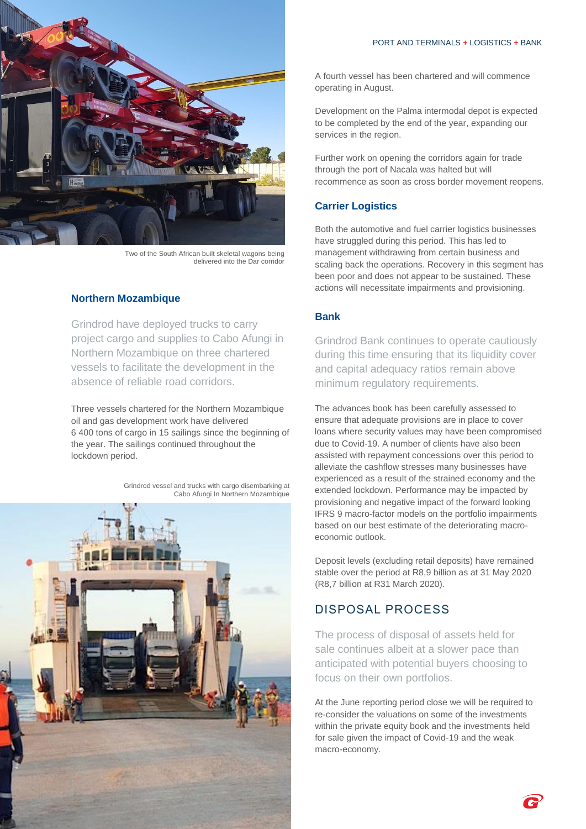

Two of the South African built skeletal wagons being delivered into the Dar corridor

### **Northern Mozambique**

Grindrod have deployed trucks to carry project cargo and supplies to Cabo Afungi in Northern Mozambique on three chartered vessels to facilitate the development in the absence of reliable road corridors.

Three vessels chartered for the Northern Mozambique oil and gas development work have delivered 6 400 tons of cargo in 15 sailings since the beginning of the year. The sailings continued throughout the lockdown period.

> Grindrod vessel and trucks with cargo disembarking at Cabo Afungi In Northern Mozambique



A fourth vessel has been chartered and will commence operating in August.

Development on the Palma intermodal depot is expected to be completed by the end of the year, expanding our services in the region.

Further work on opening the corridors again for trade through the port of Nacala was halted but will recommence as soon as cross border movement reopens.

### **Carrier Logistics**

Both the automotive and fuel carrier logistics businesses have struggled during this period. This has led to management withdrawing from certain business and scaling back the operations. Recovery in this segment has been poor and does not appear to be sustained. These actions will necessitate impairments and provisioning.

### **Bank**

Grindrod Bank continues to operate cautiously during this time ensuring that its liquidity cover and capital adequacy ratios remain above minimum regulatory requirements.

The advances book has been carefully assessed to ensure that adequate provisions are in place to cover loans where security values may have been compromised due to Covid-19. A number of clients have also been assisted with repayment concessions over this period to alleviate the cashflow stresses many businesses have experienced as a result of the strained economy and the extended lockdown. Performance may be impacted by provisioning and negative impact of the forward looking IFRS 9 macro-factor models on the portfolio impairments based on our best estimate of the deteriorating macroeconomic outlook.

Deposit levels (excluding retail deposits) have remained stable over the period at R8,9 billion as at 31 May 2020 (R8,7 billion at R31 March 2020).

### DISPOSAL PROCESS

The process of disposal of assets held for sale continues albeit at a slower pace than anticipated with potential buyers choosing to focus on their own portfolios.

At the June reporting period close we will be required to re-consider the valuations on some of the investments within the private equity book and the investments held for sale given the impact of Covid-19 and the weak macro-economy.